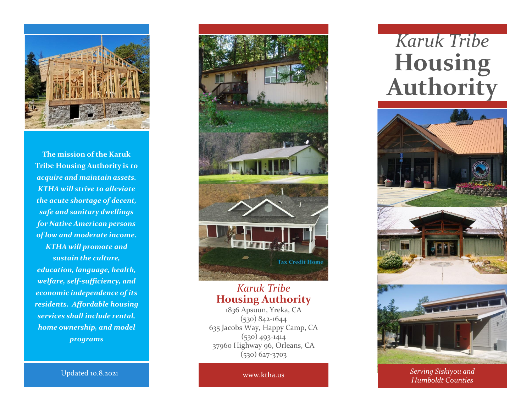

**The mission of the Karuk Tribe Housing Authority is** *to acquire and maintain assets. KTHA will strive to alleviate the acute shortage of decent, safe and sanitary dwellings for Native American persons of low and moderate income. KTHA will promote and sustain the culture, education, language, health, welfare, self-sufficiency, and economic independence of its residents. Affordable housing services shall include rental, home ownership, and model programs*

**Tax Credit Home** 

## *Karuk Tribe* **Housing Authority**

1836 Apsuun, Yreka, CA (530) 842-1644 635 Jacobs Way, Happy Camp, CA (530) 493-1414 37960 Highway 96, Orleans, CA (530) 627-3703

## *Karuk Tribe* **Housing Authority**



www.ktha.us *Serving Siskiyou and Humboldt Counties*

Updated 10.8.2021